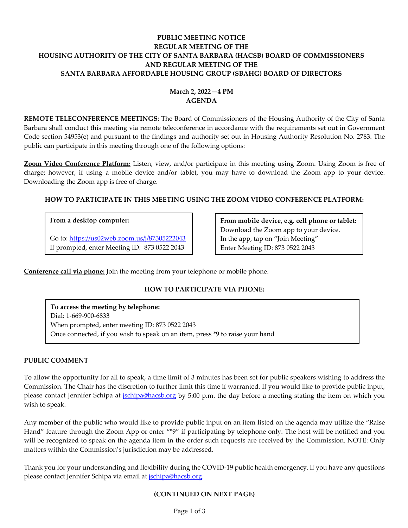# **PUBLIC MEETING NOTICE REGULAR MEETING OF THE HOUSING AUTHORITY OF THE CITY OF SANTA BARBARA (HACSB) BOARD OF COMMISSIONERS AND REGULAR MEETING OF THE SANTA BARBARA AFFORDABLE HOUSING GROUP (SBAHG) BOARD OF DIRECTORS**

# **March 2, 2022—4 PM AGENDA**

**REMOTE TELECONFERENCE MEETINGS**: The Board of Commissioners of the Housing Authority of the City of Santa Barbara shall conduct this meeting via remote teleconference in accordance with the requirements set out in Government Code section 54953(e) and pursuant to the findings and authority set out in Housing Authority Resolution No. 2783. The public can participate in this meeting through one of the following options:

**Zoom Video Conference Platform:** Listen, view, and/or participate in this meeting using Zoom. Using Zoom is free of charge; however, if using a mobile device and/or tablet, you may have to download the Zoom app to your device. Downloading the Zoom app is free of charge.

# **HOW TO PARTICIPATE IN THIS MEETING USING THE ZOOM VIDEO CONFERENCE PLATFORM:**

### **From a desktop computer:**

Go to:<https://us02web.zoom.us/j/87305222043> If prompted, enter Meeting ID: 873 0522 2043

**From mobile device, e.g. cell phone or tablet:** Download the Zoom app to your device. In the app, tap on "Join Meeting" Enter Meeting ID: 873 0522 2043

**Conference call via phone:** Join the meeting from your telephone or mobile phone.

# **HOW TO PARTICIPATE VIA PHONE:**

**To access the meeting by telephone:** Dial: 1-669-900-6833 When prompted, enter meeting ID: 873 0522 2043 Once connected, if you wish to speak on an item, press \*9 to raise your hand

### **PUBLIC COMMENT**

To allow the opportunity for all to speak, a time limit of 3 minutes has been set for public speakers wishing to address the Commission. The Chair has the discretion to further limit this time if warranted. If you would like to provide public input, please contact Jennifer Schipa at *ischipa@hacsb.org* by 5:00 p.m. the day before a meeting stating the item on which you wish to speak.

Any member of the public who would like to provide public input on an item listed on the agenda may utilize the "Raise Hand" feature through the Zoom App or enter "\*9" if participating by telephone only. The host will be notified and you will be recognized to speak on the agenda item in the order such requests are received by the Commission. NOTE: Only matters within the Commission's jurisdiction may be addressed.

Thank you for your understanding and flexibility during the COVID-19 public health emergency. If you have any questions please contact Jennifer Schipa via email at [jschipa@hacsb.org.](mailto:jschipa@hacsb.org)

### **(CONTINUED ON NEXT PAGE)**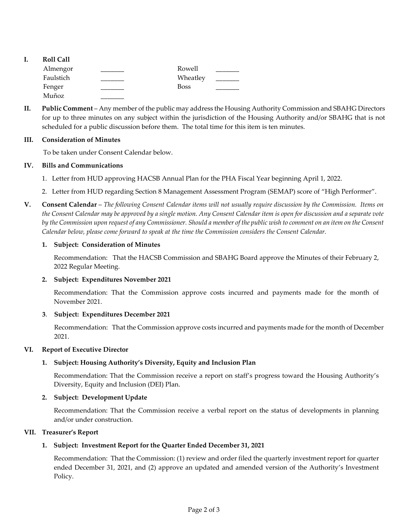- **I. Roll Call** Almengor **Latter Lines and Almengor** Rowell Faulstich Wheatley Fenger \_\_\_\_\_\_\_\_\_ Boss \_\_\_\_\_\_\_ Muñoz \_\_\_\_\_\_\_
- **II. Public Comment** Any member of the public may address the Housing Authority Commission and SBAHG Directors for up to three minutes on any subject within the jurisdiction of the Housing Authority and/or SBAHG that is not scheduled for a public discussion before them. The total time for this item is ten minutes.

## **III. Consideration of Minutes**

To be taken under Consent Calendar below.

## **IV. Bills and Communications**

- [1. Letter from HUD approving HACSB Annual Plan for the PHA Fiscal Year beginning April 1, 2022.](https://hacsb.org/download/meetings_2022/items/march/Item-IV.1_HUD-PHA-Plan-Approval.pdf)
- [2. Letter from HUD regarding Section 8 Management Assessment Program \(SEMAP\) score of "High Performer".](https://hacsb.org/download/meetings_2022/items/march/Item-IV.2_2020-SEMAP-Notification.pdf)
- **V. Consent Calendar** *The following Consent Calendar items will not usually require discussion by the Commission. Items on the Consent Calendar may be approved by a single motion. Any Consent Calendar item is open for discussion and a separate vote by the Commission upon request of any Commissioner. Should a member of the public wish to comment on an item on the Consent Calendar below, please come forward to speak at the time the Commission considers the Consent Calendar.*

### **1. Subject: Consideration of Minutes**

Recommendation: That the HACSB Commission [and SBAHG Board approve the Minutes of their February](https://hacsb.org/download/meetings_2022/items/march/Item-V.1_Minutes-02-02-2022.pdf) 2, 2022 Regular Meeting.

### **2. Subject: Expenditures November 2021**

[Recommendation: That the Commission approve costs incurred and payments made for the month of](https://hacsb.org/download/meetings_2022/items/march/Expenditure-Report-2021-11-COMPLETE_short.pdf)  November 2021.

### **3**. **Subject: Expenditures December 2021**

[Recommendation: That the Commission approve costs incurred and payments made for the month of December](https://hacsb.org/download/meetings_2022/items/march/Expenditure-Report-2021-12-COMPLETE_short.pdf) 2021.

### **VI. Report of Executive Director**

# **1. [Subject: Housing Authority's Diversity, Equity and Inclusion Plan](https://hacsb.org/download/meetings_2022/items/march/Item-VI.1_DEI-Report.pdf)**

Recommendation: That the Commission receive a report on staff's progress toward the Housing Authority's Diversity, Equity and Inclusion (DEI) Plan.

### **2. Subject: Development Update**

Recommendation: That the Commission receive a verbal report on the status of developments in planning and/or under construction.

### **VII. Treasurer's Report**

### **[1. Subject: Investment Report for the Quarter Ended December](https://hacsb.org/download/meetings_2022/items/march/Item-VII.1_Investment-Report-2021-12-31.pdf) 31, 2021**

Recommendation: That the Commission: (1) review and order filed the quarterly investment report for quarter ended December 31, 2021, and (2) approve an updated and amended version of the Authority's Investment Policy.